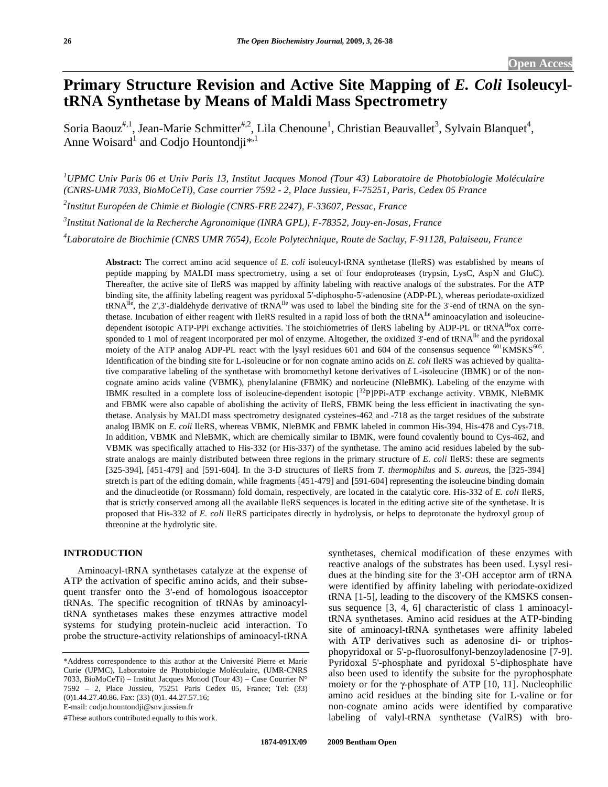# **Primary Structure Revision and Active Site Mapping of** *E. Coli* **IsoleucyltRNA Synthetase by Means of Maldi Mass Spectrometry**

Soria Baouz<sup>#,1</sup>, Jean-Marie Schmitter<sup>#,2</sup>, Lila Chenoune<sup>1</sup>, Christian Beauvallet<sup>3</sup>, Sylvain Blanquet<sup>4</sup>, Anne Woisard<sup>1</sup> and Codjo Hountondji<sup>\*,1</sup>

<sup>1</sup> UPMC Univ Paris 06 et Univ Paris 13, Institut Jacques Monod (Tour 43) Laboratoire de Photobiologie Moléculaire *(CNRS-UMR 7033, BioMoCeTi), Case courrier 7592 - 2, Place Jussieu, F-75251, Paris, Cedex 05 France* 

*2 Institut Européen de Chimie et Biologie (CNRS-FRE 2247), F-33607, Pessac, France* 

*3 Institut National de la Recherche Agronomique (INRA GPL), F-78352, Jouy-en-Josas, France* 

*4 Laboratoire de Biochimie (CNRS UMR 7654), Ecole Polytechnique, Route de Saclay, F-91128, Palaiseau, France* 

**Abstract:** The correct amino acid sequence of *E. coli* isoleucyl-tRNA synthetase (IleRS) was established by means of peptide mapping by MALDI mass spectrometry, using a set of four endoproteases (trypsin, LysC, AspN and GluC). Thereafter, the active site of IleRS was mapped by affinity labeling with reactive analogs of the substrates. For the ATP binding site, the affinity labeling reagent was pyridoxal 5'-diphospho-5'-adenosine (ADP-PL), whereas periodate-oxidized  $tRNA^{Iie}$ , the 2',3'-dialdehyde derivative of  $tRNA^{Iie}$  was used to label the binding site for the 3'-end of  $tRNA$  on the synthetase. Incubation of either reagent with IleRS resulted in a rapid loss of both the tRNA<sup>Ile</sup> aminoacylation and isoleucinedependent isotopic ATP-PPi exchange activities. The stoichiometries of IleRS labeling by ADP-PL or tRNA<sup>Ile</sup>ox corresponded to 1 mol of reagent incorporated per mol of enzyme. Altogether, the oxidized 3'-end of tRNA<sup>Ile</sup> and the pyridoxal moiety of the ATP analog ADP-PL react with the lysyl residues 601 and 604 of the consensus sequence <sup>601</sup>KMSKS<sup>605</sup>. Identification of the binding site for L-isoleucine or for non cognate amino acids on *E. coli* IleRS was achieved by qualitative comparative labeling of the synthetase with bromomethyl ketone derivatives of L-isoleucine (IBMK) or of the noncognate amino acids valine (VBMK), phenylalanine (FBMK) and norleucine (NleBMK). Labeling of the enzyme with IBMK resulted in a complete loss of isoleucine-dependent isotopic [32P]PPi-ATP exchange activity. VBMK, NleBMK and FBMK were also capable of abolishing the activity of IleRS, FBMK being the less efficient in inactivating the synthetase. Analysis by MALDI mass spectrometry designated cysteines-462 and -718 as the target residues of the substrate analog IBMK on *E. coli* IleRS, whereas VBMK, NleBMK and FBMK labeled in common His-394, His-478 and Cys-718. In addition, VBMK and NleBMK, which are chemically similar to IBMK, were found covalently bound to Cys-462, and VBMK was specifically attached to His-332 (or His-337) of the synthetase. The amino acid residues labeled by the substrate analogs are mainly distributed between three regions in the primary structure of *E. coli* IleRS: these are segments [325-394], [451-479] and [591-604]. In the 3-D structures of IleRS from *T. thermophilus* and *S. aureus*, the [325-394] stretch is part of the editing domain, while fragments [451-479] and [591-604] representing the isoleucine binding domain and the dinucleotide (or Rossmann) fold domain, respectively, are located in the catalytic core. His-332 of *E. coli* IleRS, that is strictly conserved among all the available IleRS sequences is located in the editing active site of the synthetase. It is proposed that His-332 of *E. coli* IleRS participates directly in hydrolysis, or helps to deprotonate the hydroxyl group of threonine at the hydrolytic site.

#### **INTRODUCTION**

 Aminoacyl-tRNA synthetases catalyze at the expense of ATP the activation of specific amino acids, and their subsequent transfer onto the 3'-end of homologous isoacceptor tRNAs. The specific recognition of tRNAs by aminoacyltRNA synthetases makes these enzymes attractive model systems for studying protein-nucleic acid interaction. To probe the structure-activity relationships of aminoacyl-tRNA

#These authors contributed equally to this work.

synthetases, chemical modification of these enzymes with reactive analogs of the substrates has been used. Lysyl residues at the binding site for the 3'-OH acceptor arm of tRNA were identified by affinity labeling with periodate-oxidized tRNA [1-5], leading to the discovery of the KMSKS consensus sequence [3, 4, 6] characteristic of class 1 aminoacyltRNA synthetases. Amino acid residues at the ATP-binding site of aminoacyl-tRNA synthetases were affinity labeled with ATP derivatives such as adenosine di- or triphosphopyridoxal or 5'-p-fluorosulfonyl-benzoyladenosine [7-9]. Pyridoxal 5'-phosphate and pyridoxal 5'-diphosphate have also been used to identify the subsite for the pyrophosphate moiety or for the  $\gamma$ -phosphate of ATP [10, 11]. Nucleophilic amino acid residues at the binding site for L-valine or for non-cognate amino acids were identified by comparative labeling of valyl-tRNA synthetase (ValRS) with bro-

<sup>\*</sup>Address correspondence to this author at the Université Pierre et Marie Curie (UPMC), Laboratoire de Photobiologie Moléculaire, (UMR-CNRS 7033, BioMoCeTi) – Institut Jacques Monod (Tour 43) – Case Courrier N° 7592 – 2, Place Jussieu, 75251 Paris Cedex 05, France; Tel: (33) (0)1.44.27.40.86. Fax: (33) (0)1. 44.27.57.16; E-mail: codjo.hountondji@snv.jussieu.fr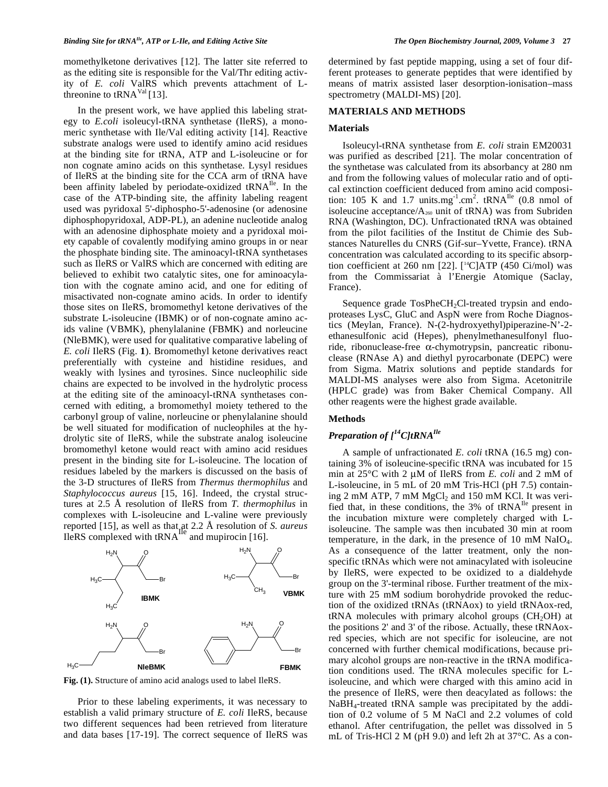momethylketone derivatives [12]. The latter site referred to as the editing site is responsible for the Val/Thr editing activity of *E. coli* ValRS which prevents attachment of Lthreonine to  $tRNA<sup>Val</sup>$  [13].

 In the present work, we have applied this labeling strategy to *E.coli* isoleucyl-tRNA synthetase (IleRS), a monomeric synthetase with Ile/Val editing activity [14]. Reactive substrate analogs were used to identify amino acid residues at the binding site for tRNA, ATP and L-isoleucine or for non cognate amino acids on this synthetase. Lysyl residues of IleRS at the binding site for the CCA arm of tRNA have been affinity labeled by periodate-oxidized tRNA<sup>IIe</sup>. In the case of the ATP-binding site, the affinity labeling reagent used was pyridoxal 5'-diphospho-5'-adenosine (or adenosine diphosphopyridoxal, ADP-PL), an adenine nucleotide analog with an adenosine diphosphate moiety and a pyridoxal moiety capable of covalently modifying amino groups in or near the phosphate binding site. The aminoacyl-tRNA synthetases such as IleRS or ValRS which are concerned with editing are believed to exhibit two catalytic sites, one for aminoacylation with the cognate amino acid, and one for editing of misactivated non-cognate amino acids. In order to identify those sites on IleRS, bromomethyl ketone derivatives of the substrate L-isoleucine (IBMK) or of non-cognate amino acids valine (VBMK), phenylalanine (FBMK) and norleucine (NleBMK), were used for qualitative comparative labeling of *E. coli* IleRS (Fig. **1**). Bromomethyl ketone derivatives react preferentially with cysteine and histidine residues, and weakly with lysines and tyrosines. Since nucleophilic side chains are expected to be involved in the hydrolytic process at the editing site of the aminoacyl-tRNA synthetases concerned with editing, a bromomethyl moiety tethered to the carbonyl group of valine, norleucine or phenylalanine should be well situated for modification of nucleophiles at the hydrolytic site of IleRS, while the substrate analog isoleucine bromomethyl ketone would react with amino acid residues present in the binding site for L-isoleucine. The location of residues labeled by the markers is discussed on the basis of the 3-D structures of IleRS from *Thermus thermophilus* and *Staphylococcus aureus* [15, 16]. Indeed, the crystal structures at 2.5 Å resolution of IleRS from *T. thermophilus* in complexes with L-isoleucine and L-valine were previously reported [15], as well as that at 2.2 Å resolution of *S. aureus* IleRS complexed with  $tRNA$ <sup>nc</sup> and mupirocin [16].



**Fig. (1).** Structure of amino acid analogs used to label IleRS.

 Prior to these labeling experiments, it was necessary to establish a valid primary structure of *E. coli* IleRS, because two different sequences had been retrieved from literature and data bases [17-19]. The correct sequence of IleRS was determined by fast peptide mapping, using a set of four different proteases to generate peptides that were identified by means of matrix assisted laser desorption-ionisation–mass spectrometry (MALDI-MS) [20].

#### **MATERIALS AND METHODS**

#### **Materials**

 Isoleucyl-tRNA synthetase from *E. coli* strain EM20031 was purified as described [21]. The molar concentration of the synthetase was calculated from its absorbancy at 280 nm and from the following values of molecular ratio and of optical extinction coefficient deduced from amino acid composition: 105 K and 1.7 units.mg<sup>-1</sup>.cm<sup>2</sup>. tRNA<sup>Ile</sup> (0.8 nmol of isoleucine acceptance/ $A_{260}$  unit of tRNA) was from Subriden RNA (Washington, DC). Unfractionated tRNA was obtained from the pilot facilities of the Institut de Chimie des Substances Naturelles du CNRS (Gif-sur–Yvette, France). tRNA concentration was calculated according to its specific absorption coefficient at 260 nm [22].  $[$ <sup>14</sup>C]ATP (450 Ci/mol) was from the Commissariat à l'Energie Atomique (Saclay, France).

Sequence grade  $TosPheCH<sub>2</sub>Cl-treated trypsin and endo$ proteases LysC, GluC and AspN were from Roche Diagnostics (Meylan, France). N-(2-hydroxyethyl)piperazine-N'-2 ethanesulfonic acid (Hepes), phenylmethanesulfonyl fluoride, ribonuclease-free  $\alpha$ -chymotrypsin, pancreatic ribonuclease (RNAse A) and diethyl pyrocarbonate (DEPC) were from Sigma. Matrix solutions and peptide standards for MALDI-MS analyses were also from Sigma. Acetonitrile (HPLC grade) was from Baker Chemical Company. All other reagents were the highest grade available.

### **Methods**

# *Preparation of [14C]tRNAIle*

 A sample of unfractionated *E. coli* tRNA (16.5 mg) containing 3% of isoleucine-specific tRNA was incubated for 15 min at 25°C with 2 μM of IleRS from *E. coli* and 2 mM of L-isoleucine, in 5 mL of 20 mM Tris-HCl (pH 7.5) containing 2 mM ATP, 7 mM  $MgCl<sub>2</sub>$  and 150 mM KCl. It was verified that, in these conditions, the  $3\%$  of tRNA<sup>Ile</sup> present in the incubation mixture were completely charged with Lisoleucine. The sample was then incubated 30 min at room temperature, in the dark, in the presence of 10 mM NaIO4. As a consequence of the latter treatment, only the nonspecific tRNAs which were not aminacylated with isoleucine by IleRS, were expected to be oxidized to a dialdehyde group on the 3'-terminal ribose. Further treatment of the mixture with 25 mM sodium borohydride provoked the reduction of the oxidized tRNAs (tRNAox) to yield tRNAox-red,  $tRNA$  molecules with primary alcohol groups  $(CH_2OH)$  at the positions 2' and 3' of the ribose. Actually, these tRNAoxred species, which are not specific for isoleucine, are not concerned with further chemical modifications, because primary alcohol groups are non-reactive in the tRNA modification conditions used. The tRNA molecules specific for Lisoleucine, and which were charged with this amino acid in the presence of IleRS, were then deacylated as follows: the NaBH4-treated tRNA sample was precipitated by the addition of 0.2 volume of 5 M NaCl and 2.2 volumes of cold ethanol. After centrifugation, the pellet was dissolved in 5 mL of Tris-HCl 2 M (pH 9.0) and left 2h at 37°C. As a con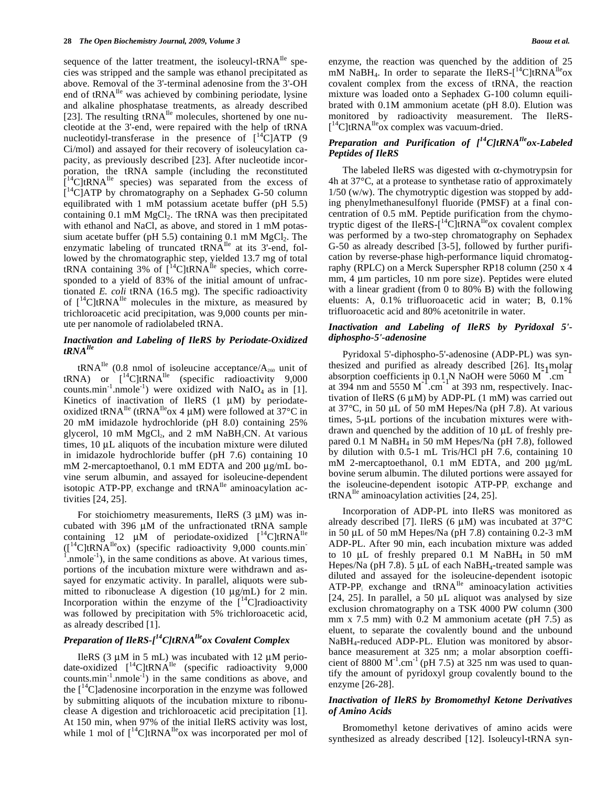sequence of the latter treatment, the isoleucyl-tRNA<sup>Ile</sup> species was stripped and the sample was ethanol precipitated as above. Removal of the 3'-terminal adenosine from the 3'-OH end of tRNA<sup>Ile</sup> was achieved by combining periodate, lysine and alkaline phosphatase treatments, as already described [23]. The resulting  $tRNA^{Ile}$  molecules, shortened by one nucleotide at the 3'-end, were repaired with the help of tRNA nucleotidyl-transferase in the presence of  $\int_{0}^{14}C|ATP|$  (9 Ci/mol) and assayed for their recovery of isoleucylation capacity, as previously described [23]. After nucleotide incorporation, the tRNA sample (including the reconstituted [  ${}^{4}$ C|tRNA<sup>Ile</sup> species) was separated from the excess of  $I^{14}$ C]ATP by chromatography on a Sephadex G-50 column equilibrated with 1 mM potassium acetate buffer (pH 5.5) containing  $0.1 \text{ mM } MgCl<sub>2</sub>$ . The tRNA was then precipitated with ethanol and NaCl, as above, and stored in 1 mM potassium acetate buffer (pH 5.5) containing  $0.1 \text{ mM } MgCl_2$ . The enzymatic labeling of truncated  $tRN\overline{A}^{Ile}$  at its 3'-end, followed by the chromatographic step, yielded 13.7 mg of total tRNA containing 3% of  $14$ C|tRNA<sup>Ile</sup> species, which corresponded to a yield of 83% of the initial amount of unfractionated *E. coli* tRNA (16.5 mg). The specific radioactivity of  $[{}^{14}C]$ tRNA<sup>Ile</sup> molecules in the mixture, as measured by trichloroacetic acid precipitation, was 9,000 counts per minute per nanomole of radiolabeled tRNA.

### *Inactivation and Labeling of IleRS by Periodate-Oxidized tRNAIle*

tRNA<sup>Ile</sup> (0.8 nmol of isoleucine acceptance/A<sub>260</sub> unit of tRNA) or  $\left[ {}^{14}C \right]$ tRNA<sup>Ile</sup> (specific radioactivity 9,000 counts.min<sup>-1</sup>.nmole<sup>-1</sup>) were oxidized with NaIO<sub>4</sub> as in [1]. Kinetics of inactivation of IleRS  $(1 \mu M)$  by periodateoxidized tRNA<sup>Ile</sup> (tRNA<sup>Ile</sup>ox 4  $\mu$ M) were followed at 37°C in 20 mM imidazole hydrochloride (pH 8.0) containing 25% glycerol, 10 mM  $MgCl<sub>2</sub>$ , and 2 mM NaBH<sub>3</sub>CN. At various times, 10 μL aliquots of the incubation mixture were diluted in imidazole hydrochloride buffer (pH 7.6) containing 10 mM 2-mercaptoethanol, 0.1 mM EDTA and 200 μg/mL bovine serum albumin, and assayed for isoleucine-dependent isotopic ATP-PP<sub>i</sub> exchange and  $tRNA^{Ile}$  aminoacylation activities [24, 25].

For stoichiometry measurements, IleRS  $(3 \mu M)$  was incubated with 396 μM of the unfractionated tRNA sample containing 12  $\mu$ M of periodate-oxidized  $[$ <sup>14</sup>C]tRNA<sup>Ile</sup>  $(I^{14}C[tRNA^{Ile}ox)$  (specific radioactivity 9,000 counts.min- $1$ .nmole<sup>-1</sup>), in the same conditions as above. At various times, portions of the incubation mixture were withdrawn and assayed for enzymatic activity. In parallel, aliquots were submitted to ribonuclease A digestion (10 μg/mL) for 2 min. Incorporation within the enzyme of the  $\int_1^{14}$ C]radioactivity was followed by precipitation with 5% trichloroacetic acid, as already described [1].

# *Preparation of IleRS-[14C]tRNAIleox Covalent Complex*

IleRS (3 μM in 5 mL) was incubated with 12 μM periodate-oxidized  $\int_0^{14}$ C]tRNA<sup>Ile</sup> (specific radioactivity 9,000 counts.min $^{-1}$ .nmole<sup>-1</sup>) in the same conditions as above, and the  $\int_1^1 C$  adenosine incorporation in the enzyme was followed by submitting aliquots of the incubation mixture to ribonuclease A digestion and trichloroacetic acid precipitation [1]. At 150 min, when 97% of the initial IleRS activity was lost, while 1 mol of  $\int_0^{14}$ C]tRNA<sup>Ile</sup>ox was incorporated per mol of enzyme, the reaction was quenched by the addition of 25 mM NaBH<sub>4</sub>. In order to separate the IleRS- $[$ <sup>14</sup>C]tRNA<sup>Ile</sup>ox covalent complex from the excess of tRNA, the reaction mixture was loaded onto a Sephadex G-100 column equilibrated with 0.1M ammonium acetate (pH 8.0). Elution was monitored by radioactivity measurement. The IleRS- [<sup>14</sup>C]tRNA<sup>Ile</sup>ox complex was vacuum-dried.

# *Preparation and Purification of [14C]tRNAIleox-Labeled Peptides of IleRS*

The labeled IleRS was digested with  $\alpha$ -chymotrypsin for 4h at 37°C, at a protease to synthetase ratio of approximately 1/50 (w/w). The chymotryptic digestion was stopped by adding phenylmethanesulfonyl fluoride (PMSF) at a final concentration of 0.5 mM. Peptide purification from the chymotryptic digest of the IleRS- $[$ <sup>14</sup>C]tRNA<sup>Ile</sup>ox covalent complex was performed by a two-step chromatography on Sephadex G-50 as already described [3-5], followed by further purification by reverse-phase high-performance liquid chromatography (RPLC) on a Merck Superspher RP18 column (250 x 4 mm, 4 μm particles, 10 nm pore size). Peptides were eluted with a linear gradient (from 0 to 80% B) with the following eluents: A, 0.1% trifluoroacetic acid in water; B, 0.1% trifluoroacetic acid and 80% acetonitrile in water.

### *Inactivation and Labeling of IleRS by Pyridoxal 5' diphospho-5'-adenosine*

 Pyridoxal 5'-diphospho-5'-adenosine (ADP-PL) was synthesized and purified as already described [26]. Its molar desized and purified as already described  $[20]$ . Its inoted<br>absorption coefficients in 0.1 N NaOH were 5060 M<sup>-1</sup>.cm at 394 nm and  $5550 \text{ M}^{-1}$ .cm<sup>-1</sup> at 393 nm, respectively. Inactivation of IleRS (6  $\mu$ M) by ADP-PL (1 mM) was carried out at 37°C, in 50 μL of 50 mM Hepes/Na (pH 7.8). At various times, 5-μL portions of the incubation mixtures were withdrawn and quenched by the addition of 10 μL of freshly prepared 0.1 M NaBH4 in 50 mM Hepes/Na (pH 7.8), followed by dilution with 0.5-1 mL Tris/HCl pH 7.6, containing 10 mM 2-mercaptoethanol, 0.1 mM EDTA, and 200 μg/mL bovine serum albumin. The diluted portions were assayed for the isoleucine-dependent isotopic ATP-PP<sub>i</sub> exchange and  $tRNA^{Ile}$  aminoacylation activities [24, 25].

 Incorporation of ADP-PL into IleRS was monitored as already described [7]. IleRS (6 μM) was incubated at 37°C in 50 μL of 50 mM Hepes/Na (pH 7.8) containing 0.2-3 mM ADP-PL. After 90 min, each incubation mixture was added to 10  $\mu$ L of freshly prepared 0.1 M NaBH<sub>4</sub> in 50 mM Hepes/Na (pH 7.8). 5 μL of each NaBH4-treated sample was diluted and assayed for the isoleucine-dependent isotopic ATP-PP<sub>i</sub> exchange and tRNA<sup>Ile</sup> aminoacylation activities [24, 25]. In parallel, a 50 µL aliquot was analysed by size exclusion chromatography on a TSK 4000 PW column (300 mm x 7.5 mm) with 0.2 M ammonium acetate (pH 7.5) as eluent, to separate the covalently bound and the unbound NaBH4-reduced ADP-PL. Elution was monitored by absorbance measurement at 325 nm; a molar absorption coefficient of 8800  $M^{-1}$ .cm<sup>-1</sup> (pH 7.5) at 325 nm was used to quantify the amount of pyridoxyl group covalently bound to the enzyme [26-28].

### *Inactivation of IleRS by Bromomethyl Ketone Derivatives of Amino Acids*

 Bromomethyl ketone derivatives of amino acids were synthesized as already described [12]. Isoleucyl-tRNA syn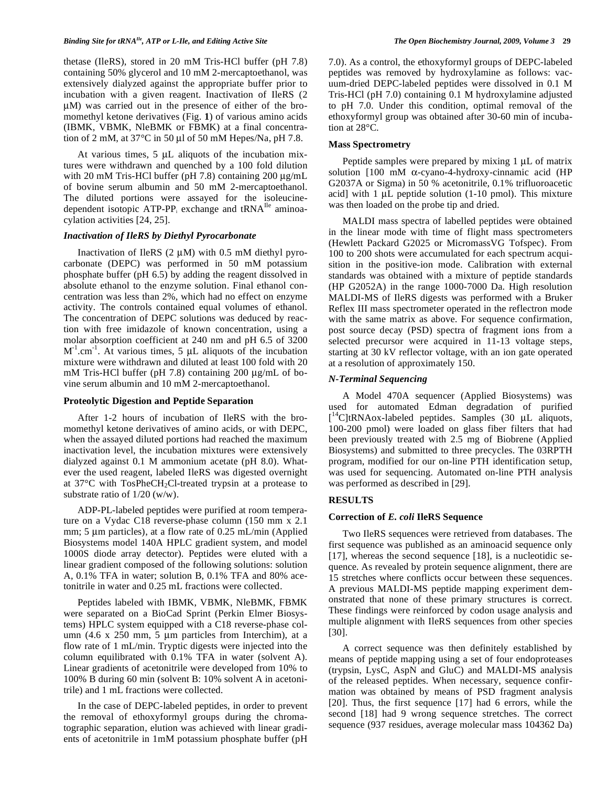thetase (IleRS), stored in 20 mM Tris-HCl buffer (pH 7.8) containing 50% glycerol and 10 mM 2-mercaptoethanol, was extensively dialyzed against the appropriate buffer prior to incubation with a given reagent. Inactivation of IleRS (2 μM) was carried out in the presence of either of the bromomethyl ketone derivatives (Fig. **1**) of various amino acids (IBMK, VBMK, NleBMK or FBMK) at a final concentration of 2 mM, at  $37^{\circ}$ C in 50 µl of 50 mM Hepes/Na, pH 7.8.

 At various times, 5 μL aliquots of the incubation mixtures were withdrawn and quenched by a 100 fold dilution with 20 mM Tris-HCl buffer (pH 7.8) containing 200 μg/mL of bovine serum albumin and 50 mM 2-mercaptoethanol. The diluted portions were assayed for the isoleucinedependent isotopic ATP-PP<sub>i</sub> exchange and tRNA<sup>Ile</sup> aminoacylation activities [24, 25].

### *Inactivation of IleRS by Diethyl Pyrocarbonate*

Inactivation of IleRS  $(2 \mu M)$  with 0.5 mM diethyl pyrocarbonate (DEPC) was performed in 50 mM potassium phosphate buffer (pH 6.5) by adding the reagent dissolved in absolute ethanol to the enzyme solution. Final ethanol concentration was less than 2%, which had no effect on enzyme activity. The controls contained equal volumes of ethanol. The concentration of DEPC solutions was deduced by reaction with free imidazole of known concentration, using a molar absorption coefficient at 240 nm and pH 6.5 of 3200  $M^{-1}$ .cm<sup>-1</sup>. At various times, 5  $\mu$ L aliquots of the incubation mixture were withdrawn and diluted at least 100 fold with 20 mM Tris-HCl buffer (pH 7.8) containing 200 μg/mL of bovine serum albumin and 10 mM 2-mercaptoethanol.

#### **Proteolytic Digestion and Peptide Separation**

 After 1-2 hours of incubation of IleRS with the bromomethyl ketone derivatives of amino acids, or with DEPC, when the assayed diluted portions had reached the maximum inactivation level, the incubation mixtures were extensively dialyzed against 0.1 M ammonium acetate (pH 8.0). Whatever the used reagent, labeled IleRS was digested overnight at  $37^{\circ}$ C with TosPheCH<sub>2</sub>Cl-treated trypsin at a protease to substrate ratio of 1/20 (w/w).

 ADP-PL-labeled peptides were purified at room temperature on a Vydac C18 reverse-phase column (150 mm x 2.1 mm; 5 μm particles), at a flow rate of 0.25 mL/min (Applied Biosystems model 140A HPLC gradient system, and model 1000S diode array detector). Peptides were eluted with a linear gradient composed of the following solutions: solution A, 0.1% TFA in water; solution B, 0.1% TFA and 80% acetonitrile in water and 0.25 mL fractions were collected.

 Peptides labeled with IBMK, VBMK, NleBMK, FBMK were separated on a BioCad Sprint (Perkin Elmer Biosystems) HPLC system equipped with a C18 reverse-phase column (4.6 x 250 mm, 5 μm particles from Interchim), at a flow rate of 1 mL/min. Tryptic digests were injected into the column equilibrated with 0.1% TFA in water (solvent A). Linear gradients of acetonitrile were developed from 10% to 100% B during 60 min (solvent B: 10% solvent A in acetonitrile) and 1 mL fractions were collected.

 In the case of DEPC-labeled peptides, in order to prevent the removal of ethoxyformyl groups during the chromatographic separation, elution was achieved with linear gradients of acetonitrile in 1mM potassium phosphate buffer (pH 7.0). As a control, the ethoxyformyl groups of DEPC-labeled peptides was removed by hydroxylamine as follows: vacuum-dried DEPC-labeled peptides were dissolved in 0.1 M Tris-HCl (pH 7.0) containing 0.1 M hydroxylamine adjusted to pH 7.0. Under this condition, optimal removal of the ethoxyformyl group was obtained after 30-60 min of incubation at 28°C.

### **Mass Spectrometry**

Peptide samples were prepared by mixing 1 μL of matrix solution  $[100 \text{ mM }\alpha$ -cyano-4-hydroxy-cinnamic acid (HP G2037A or Sigma) in 50 % acetonitrile, 0.1% trifluoroacetic acid] with 1 μL peptide solution (1-10 pmol). This mixture was then loaded on the probe tip and dried.

 MALDI mass spectra of labelled peptides were obtained in the linear mode with time of flight mass spectrometers (Hewlett Packard G2025 or MicromassVG Tofspec). From 100 to 200 shots were accumulated for each spectrum acquisition in the positive-ion mode. Calibration with external standards was obtained with a mixture of peptide standards (HP G2052A) in the range 1000-7000 Da. High resolution MALDI-MS of IleRS digests was performed with a Bruker Reflex III mass spectrometer operated in the reflectron mode with the same matrix as above. For sequence confirmation, post source decay (PSD) spectra of fragment ions from a selected precursor were acquired in 11-13 voltage steps, starting at 30 kV reflector voltage, with an ion gate operated at a resolution of approximately 150.

#### *N-Terminal Sequencing*

 A Model 470A sequencer (Applied Biosystems) was used for automated Edman degradation of purified [ 14C]tRNAox-labeled peptides. Samples (30 μL aliquots, 100-200 pmol) were loaded on glass fiber filters that had been previously treated with 2.5 mg of Biobrene (Applied Biosystems) and submitted to three precycles. The 03RPTH program, modified for our on-line PTH identification setup, was used for sequencing. Automated on-line PTH analysis was performed as described in [29].

### **RESULTS**

### **Correction of** *E. coli* **IleRS Sequence**

 Two IleRS sequences were retrieved from databases. The first sequence was published as an aminoacid sequence only [17], whereas the second sequence [18], is a nucleotidic sequence. As revealed by protein sequence alignment, there are 15 stretches where conflicts occur between these sequences. A previous MALDI-MS peptide mapping experiment demonstrated that none of these primary structures is correct. These findings were reinforced by codon usage analysis and multiple alignment with IleRS sequences from other species [30].

 A correct sequence was then definitely established by means of peptide mapping using a set of four endoproteases (trypsin, LysC, AspN and GluC) and MALDI-MS analysis of the released peptides. When necessary, sequence confirmation was obtained by means of PSD fragment analysis [20]. Thus, the first sequence [17] had 6 errors, while the second [18] had 9 wrong sequence stretches. The correct sequence (937 residues, average molecular mass 104362 Da)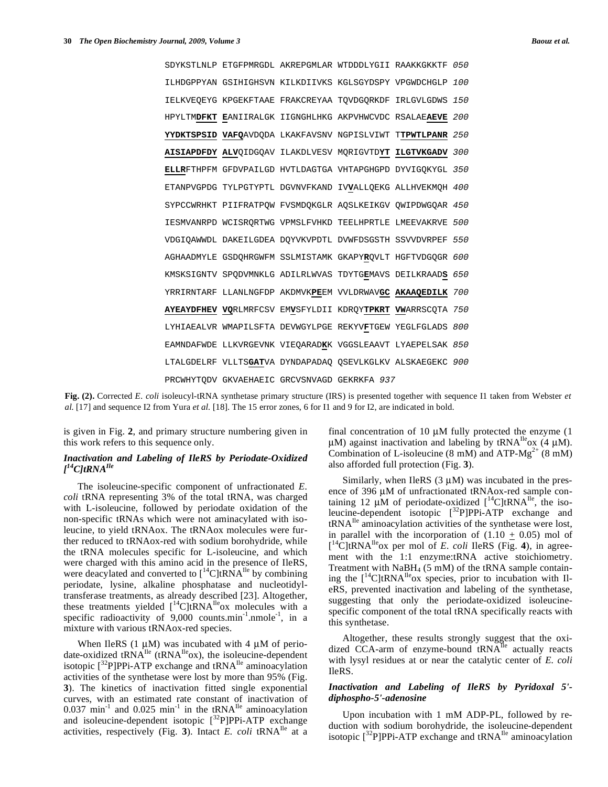|                                                        |  | SDYKSTLNLP ETGFPMRGDL AKREPGMLAR WTDDDLYGII RAAKKGKKTF     | 050 |
|--------------------------------------------------------|--|------------------------------------------------------------|-----|
|                                                        |  | ILHDGPPYAN GSIHIGHSVN KILKDIIVKS KGLSGYDSPY VPGWDCHGLP 100 |     |
|                                                        |  | IELKVEQEYG KPGEKFTAAE FRAKCREYAA TQVDGQRKDF IRLGVLGDWS 150 |     |
| HPYLTMDFKT EANIIRALGK IIGNGHLHKG AKPVHWCVDC RSALAEAEVE |  |                                                            | 200 |
|                                                        |  | YYDKTSPSID VAFQAVDQDA LKAKFAVSNV NGPISLVIWT TTPWTLPANR     | 250 |
|                                                        |  | AISIAPDFDY ALVOIDGOAV ILAKDLVESV MORIGVTDYT ILGTVKGADV 300 |     |
|                                                        |  | ELLRFTHPFM GFDVPAILGD HVTLDAGTGA VHTAPGHGPD DYVIGQKYGL 350 |     |
|                                                        |  | ETANPVGPDG TYLPGTYPTL DGVNVFKAND IVVALLQEKG ALLHVEKMQH 400 |     |
|                                                        |  | SYPCCWRHKT PIIFRATPOW FVSMDOKGLR AOSLKEIKGV OWIPDWGOAR 450 |     |
|                                                        |  | IESMVANRPD WCISRORTWG VPMSLFVHKD TEELHPRTLE LMEEVAKRVE 500 |     |
|                                                        |  | VDGIQAWWDL DAKEILGDEA DQYVKVPDTL DVWFDSGSTH SSVVDVRPEF 550 |     |
|                                                        |  | AGHAADMYLE GSDOHRGWFM SSLMISTAMK GKAPYROVLT HGFTVDGOGR 600 |     |
|                                                        |  | KMSKSIGNTV SPODVMNKLG ADILRLWVAS TDYTGEMAVS DEILKRAADS 650 |     |
|                                                        |  | YRRIRNTARF LLANLNGFDP AKDMVKPEEM VVLDRWAVGC AKAAQEDILK 700 |     |
|                                                        |  | AYEAYDFHEV VORLMRFCSV EMVSFYLDII KDROYTPKRT VWARRSCOTA 750 |     |
|                                                        |  | LYHIAEALVR WMAPILSFTA DEVWGYLPGE REKYVFTGEW YEGLFGLADS 800 |     |
|                                                        |  | EAMNDAFWDE LLKVRGEVNK VIEQARADKK VGGSLEAAVT LYAEPELSAK 850 |     |
|                                                        |  | LTALGDELRF VLLTSGATVA DYNDAPADAQ QSEVLKGLKV ALSKAEGEKC 900 |     |
| PRCWHYTODV GKVAEHAEIC GRCVSNVAGD GEKRKFA 937           |  |                                                            |     |

**Fig. (2).** Corrected *E. coli* isoleucyl-tRNA synthetase primary structure (IRS) is presented together with sequence I1 taken from Webster *et al.* [17] and sequence I2 from Yura *et al.* [18]. The 15 error zones, 6 for I1 and 9 for I2, are indicated in bold.

is given in Fig. **2**, and primary structure numbering given in this work refers to this sequence only.

### *Inactivation and Labeling of IleRS by Periodate-Oxidized [ 14C]tRNAIle*

 The isoleucine-specific component of unfractionated *E. coli* tRNA representing 3% of the total tRNA, was charged with L-isoleucine, followed by periodate oxidation of the non-specific tRNAs which were not aminacylated with isoleucine, to yield tRNAox. The tRNAox molecules were further reduced to tRNAox-red with sodium borohydride, while the tRNA molecules specific for L-isoleucine, and which were charged with this amino acid in the presence of IleRS, were deacylated and converted to  $[{}^{14}C]$ tRNA<sup>Ile</sup> by combining periodate, lysine, alkaline phosphatase and nucleotidyltransferase treatments, as already described [23]. Altogether, these treatments yielded  $[$ <sup>14</sup>C]tRNA<sup>Ile</sup>ox molecules with a specific radioactivity of  $9,000$  counts.min<sup>-1</sup>.nmole<sup>-1</sup>, in a mixture with various tRNAox-red species.

When IleRS  $(1 \mu M)$  was incubated with 4  $\mu$ M of periodate-oxidized tRNA<sup>Ile</sup> (tRNA<sup>Ile</sup>ox), the isoleucine-dependent isotopic  $[{}^{32}P]$ PPi-ATP exchange and tRNA<sup>Ile</sup> aminoacylation activities of the synthetase were lost by more than 95% (Fig. **3**). The kinetics of inactivation fitted single exponential curves, with an estimated rate constant of inactivation of  $0.037$  min<sup>-1</sup> and  $0.025$  min<sup>-1</sup> in the tRNA<sup>Ile</sup> aminoacylation and isoleucine-dependent isotopic  $[^{32}P]$ PPi-ATP exchange activities, respectively (Fig. **3**). Intact *E. coli* tRNAIle at a

final concentration of 10 μM fully protected the enzyme (1 μM) against inactivation and labeling by tRNA<sup>Ile</sup>ox (4 μM). Combination of L-isoleucine (8 mM) and ATP- $Mg^{2+}$  (8 mM) also afforded full protection (Fig. **3**).

Similarly, when IleRS  $(3 \mu M)$  was incubated in the presence of 396 μM of unfractionated tRNAox-red sample containing 12  $\mu$ M of periodate-oxidized  $[$ <sup>14</sup>C]tRNA<sup>Ile</sup>, the isoleucine-dependent isotopic [32P]PPi-ATP exchange and tRNAIle aminoacylation activities of the synthetase were lost, in parallel with the incorporation of  $(1.10 \pm 0.05)$  mol of  $\left[ {}^{14}C\right]$ tRNA<sup>Ile</sup>ox per mol of *E. coli* IleRS (Fig. 4), in agreement with the 1:1 enzyme:tRNA active stoichiometry. Treatment with  $NaBH<sub>4</sub>$  (5 mM) of the tRNA sample containing the  $[{}^{14}C]$ tRNA<sup>Ile</sup>ox species, prior to incubation with IleRS, prevented inactivation and labeling of the synthetase, suggesting that only the periodate-oxidized isoleucinespecific component of the total tRNA specifically reacts with this synthetase.

 Altogether, these results strongly suggest that the oxidized CCA-arm of enzyme-bound tRNA<sup>Ile</sup> actually reacts with lysyl residues at or near the catalytic center of *E. coli* IleRS.

### *Inactivation and Labeling of IleRS by Pyridoxal 5' diphospho-5'-adenosine*

 Upon incubation with 1 mM ADP-PL, followed by reduction with sodium borohydride, the isoleucine-dependent isotopic  $[3^3P]$ PPi-ATP exchange and tRNA<sup>Ile</sup> aminoacylation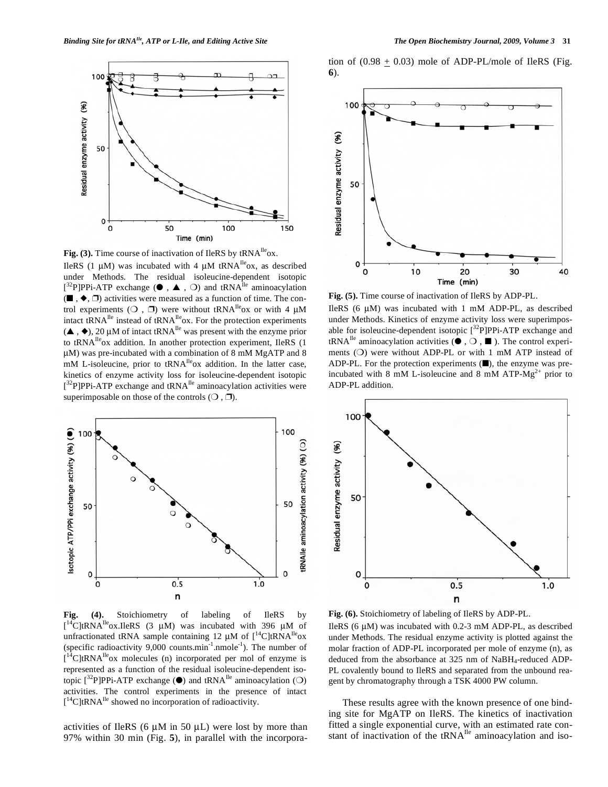

Fig. (3). Time course of inactivation of IleRS by tRNA<sup>lle</sup>ox. IleRS (1 μM) was incubated with 4 μM tRNA<sup>Ile</sup>ox, as described under Methods. The residual isoleucine-dependent isotopic  $[3^{2}P]PPi-ATP$  exchange ( $\bullet$ ,  $\bullet$ ,  $\bullet$ ) and tRNA<sup>Ile</sup> aminoacylation  $(\blacksquare, \blacklozenge, \square)$  activities were measured as a function of time. The control experiments ( $\bigcirc$ ,  $\Box$ ) were without tRNA<sup>Ile</sup>ox or with 4  $\mu$ M intact tRNA<sup>Ile</sup> instead of tRNA<sup>Ile</sup>ox. For the protection experiments  $({\blacktriangle}$ ,  ${\blacklozenge}$ ), 20 µM of intact tRNA<sup>Ile</sup> was present with the enzyme prior to tRNA<sup>Ile</sup>ox addition. In another protection experiment, IleRS  $(1)$ μM) was pre-incubated with a combination of 8 mM MgATP and 8 mM L-isoleucine, prior to tRNA<sup>Ile</sup>ox addition. In the latter case, kinetics of enzyme activity loss for isoleucine-dependent isotopic  $[3<sup>2</sup>P]$ PPi-ATP exchange and tRNA<sup>Ile</sup> aminoacylation activities were superimposable on those of the controls  $(O, \Box)$ .



**Fig. (4).** Stoichiometry of labeling of IleRS by [ $^{14}$ C]tRNA<sup>Ile</sup>ox.IleRS (3  $\mu$ M) was incubated with 396  $\mu$ M of unfractionated tRNA sample containing 12  $\mu$ M of  $[^{14}C]$ tRNA<sup>Ile</sup>ox (specific radioactivity  $9,000$  counts.min<sup>-1</sup>.nmole<sup>-1</sup>). The number of  $[14C]$ tRNA<sup>Ile</sup>ox molecules (n) incorporated per mol of enzyme is represented as a function of the residual isoleucine-dependent isotopic  $[^{32}P]$ PPi-ATP exchange ( $\bullet$ ) and tRNA<sup>Ile</sup> aminoacylation ( $\bigcirc$ ) activities. The control experiments in the presence of intact  $[$ <sup>14</sup>C]tRNA<sup>Ile</sup> showed no incorporation of radioactivity.

activities of IleRS  $(6 \mu M)$  in 50  $\mu$ L) were lost by more than 97% within 30 min (Fig. **5**), in parallel with the incorporation of  $(0.98 + 0.03)$  mole of ADP-PL/mole of IleRS (Fig. **6**).



**Fig. (5).** Time course of inactivation of IleRS by ADP-PL.

IleRS (6 μM) was incubated with 1 mM ADP-PL, as described under Methods. Kinetics of enzyme activity loss were superimposable for isoleucine-dependent isotopic  $\int^{32} P |PP$ i-ATP exchange and tRNA<sup>Ile</sup> aminoacylation activities ( $\bullet$ ,  $\circlearrowleft$ ), The control experiments (O) were without ADP-PL or with 1 mM ATP instead of ADP-PL. For the protection experiments  $(\blacksquare)$ , the enzyme was preincubated with 8 mM L-isoleucine and 8 mM ATP- $Mg^{2+}$  prior to ADP-PL addition.



**Fig. (6).** Stoichiometry of labeling of IleRS by ADP-PL.

IleRS (6 μM) was incubated with 0.2-3 mM ADP-PL, as described under Methods. The residual enzyme activity is plotted against the molar fraction of ADP-PL incorporated per mole of enzyme (n), as deduced from the absorbance at 325 nm of NaBH4-reduced ADP-PL covalently bound to IleRS and separated from the unbound reagent by chromatography through a TSK 4000 PW column.

 These results agree with the known presence of one binding site for MgATP on IleRS. The kinetics of inactivation fitted a single exponential curve, with an estimated rate constant of inactivation of the  $tRNA^{Ile}$  aminoacylation and iso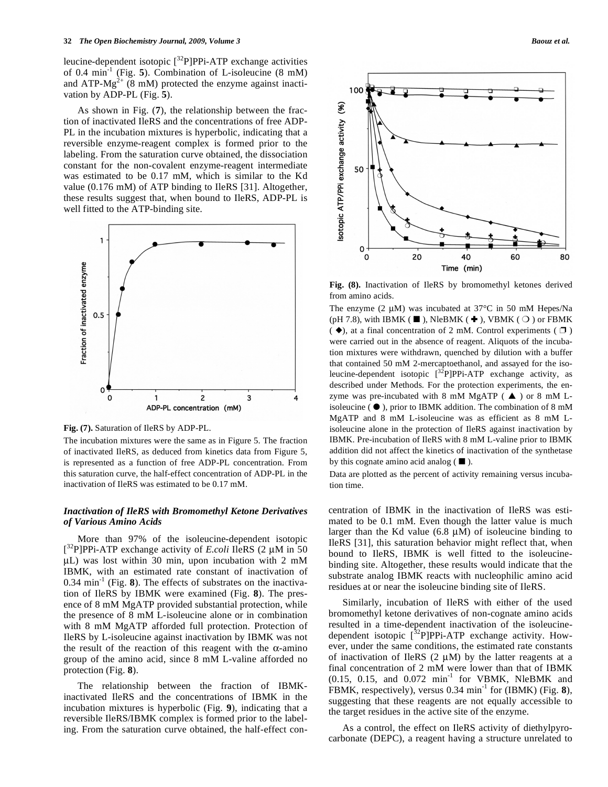leucine-dependent isotopic  $\int^{32} P |P|$ PPi-ATP exchange activities of 0.4 min-1 (Fig. **5**). Combination of L-isoleucine (8 mM) and ATP- $Mg^{2+}$  (8 mM) protected the enzyme against inactivation by ADP-PL (Fig. **5**).

 As shown in Fig. (**7**), the relationship between the fraction of inactivated IleRS and the concentrations of free ADP-PL in the incubation mixtures is hyperbolic, indicating that a reversible enzyme-reagent complex is formed prior to the labeling. From the saturation curve obtained, the dissociation constant for the non-covalent enzyme-reagent intermediate was estimated to be 0.17 mM, which is similar to the Kd value (0.176 mM) of ATP binding to IleRS [31]. Altogether, these results suggest that, when bound to IleRS, ADP-PL is well fitted to the ATP-binding site.



**Fig. (7).** Saturation of IleRS by ADP-PL.

The incubation mixtures were the same as in Figure 5. The fraction of inactivated IleRS, as deduced from kinetics data from Figure 5, is represented as a function of free ADP-PL concentration. From this saturation curve, the half-effect concentration of ADP-PL in the inactivation of IleRS was estimated to be 0.17 mM.

### *Inactivation of IleRS with Bromomethyl Ketone Derivatives of Various Amino Acids*

 More than 97% of the isoleucine-dependent isotopic [ 32P]PPi-ATP exchange activity of *E.coli* IleRS (2 μM in 50 μL) was lost within 30 min, upon incubation with 2 mM IBMK, with an estimated rate constant of inactivation of  $0.34 \text{ min}^{-1}$  (Fig. 8). The effects of substrates on the inactivation of IleRS by IBMK were examined (Fig. **8**). The presence of 8 mM MgATP provided substantial protection, while the presence of 8 mM L-isoleucine alone or in combination with 8 mM MgATP afforded full protection. Protection of IleRS by L-isoleucine against inactivation by IBMK was not the result of the reaction of this reagent with the  $\alpha$ -amino group of the amino acid, since 8 mM L-valine afforded no protection (Fig. **8**).

 The relationship between the fraction of IBMKinactivated IleRS and the concentrations of IBMK in the incubation mixtures is hyperbolic (Fig. **9**), indicating that a reversible IleRS/IBMK complex is formed prior to the labeling. From the saturation curve obtained, the half-effect con-



**Fig. (8).** Inactivation of IleRS by bromomethyl ketones derived from amino acids.

The enzyme (2 μM) was incubated at 37°C in 50 mM Hepes/Na (pH 7.8), with IBMK ( $\blacksquare$ ), NleBMK ( $\blacklozenge$ ), VBMK ( $\bigcirc$ ) or FBMK  $(\blacklozenge)$ , at a final concentration of 2 mM. Control experiments ( $\square$ ) were carried out in the absence of reagent. Aliquots of the incubation mixtures were withdrawn, quenched by dilution with a buffer that contained 50 mM 2-mercaptoethanol, and assayed for the isoleucine-dependent isotopic  $\int^{32} P |P|$ PPi-ATP exchange activity, as described under Methods. For the protection experiments, the enzyme was pre-incubated with 8 mM MgATP  $($   $\blacktriangle$   $)$  or 8 mM Lisoleucine ( $\bullet$ ), prior to IBMK addition. The combination of 8 mM MgATP and 8 mM L-isoleucine was as efficient as 8 mM Lisoleucine alone in the protection of IleRS against inactivation by IBMK. Pre-incubation of IleRS with 8 mM L-valine prior to IBMK addition did not affect the kinetics of inactivation of the synthetase by this cognate amino acid analog  $(\blacksquare)$ .

Data are plotted as the percent of activity remaining versus incubation time.

centration of IBMK in the inactivation of IleRS was estimated to be 0.1 mM. Even though the latter value is much larger than the Kd value  $(6.8 \mu M)$  of isoleucine binding to IleRS [31], this saturation behavior might reflect that, when bound to IleRS, IBMK is well fitted to the isoleucinebinding site. Altogether, these results would indicate that the substrate analog IBMK reacts with nucleophilic amino acid residues at or near the isoleucine binding site of IleRS.

 Similarly, incubation of IleRS with either of the used bromomethyl ketone derivatives of non-cognate amino acids resulted in a time-dependent inactivation of the isoleucinedependent isotopic  $[^{32}P]$ PPi-ATP exchange activity. However, under the same conditions, the estimated rate constants of inactivation of IleRS  $(2 \mu M)$  by the latter reagents at a final concentration of 2 mM were lower than that of IBMK  $(0.15, 0.15,$  and  $0.072$  min<sup>-1</sup> for VBMK, NleBMK and FBMK, respectively), versus 0.34 min<sup>-1</sup> for (IBMK) (Fig. 8), suggesting that these reagents are not equally accessible to the target residues in the active site of the enzyme.

 As a control, the effect on IleRS activity of diethylpyrocarbonate (DEPC), a reagent having a structure unrelated to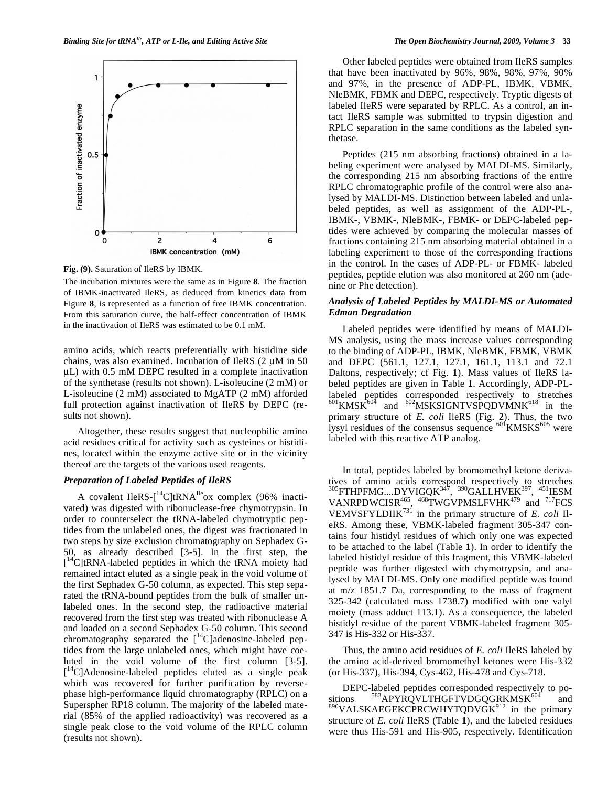

**Fig. (9).** Saturation of IleRS by IBMK.

The incubation mixtures were the same as in Figure **8**. The fraction of IBMK-inactivated IleRS, as deduced from kinetics data from Figure **8**, is represented as a function of free IBMK concentration. From this saturation curve, the half-effect concentration of IBMK in the inactivation of IleRS was estimated to be 0.1 mM.

amino acids, which reacts preferentially with histidine side chains, was also examined. Incubation of IleRS  $(2 \mu M)$  in 50 μL) with 0.5 mM DEPC resulted in a complete inactivation of the synthetase (results not shown). L-isoleucine (2 mM) or L-isoleucine (2 mM) associated to MgATP (2 mM) afforded full protection against inactivation of IleRS by DEPC (results not shown).

 Altogether, these results suggest that nucleophilic amino acid residues critical for activity such as cysteines or histidines, located within the enzyme active site or in the vicinity thereof are the targets of the various used reagents.

# *Preparation of Labeled Peptides of IleRS*

A covalent IleRS- $\left[^{14}C\right]$ tRNA<sup>Ile</sup>ox complex (96% inactivated) was digested with ribonuclease-free chymotrypsin. In order to counterselect the tRNA-labeled chymotryptic peptides from the unlabeled ones, the digest was fractionated in two steps by size exclusion chromatography on Sephadex G-50, as already described [3-5]. In the first step, the [<sup>14</sup>C]tRNA-labeled peptides in which the tRNA moiety had remained intact eluted as a single peak in the void volume of the first Sephadex G-50 column, as expected. This step separated the tRNA-bound peptides from the bulk of smaller unlabeled ones. In the second step, the radioactive material recovered from the first step was treated with ribonuclease A and loaded on a second Sephadex G-50 column. This second chromatography separated the  $[$ <sup>14</sup>C]adenosine-labeled peptides from the large unlabeled ones, which might have coeluted in the void volume of the first column [3-5]. [ 14C]Adenosine-labeled peptides eluted as a single peak which was recovered for further purification by reversephase high-performance liquid chromatography (RPLC) on a Superspher RP18 column. The majority of the labeled material (85% of the applied radioactivity) was recovered as a single peak close to the void volume of the RPLC column (results not shown).

 Other labeled peptides were obtained from IleRS samples that have been inactivated by 96%, 98%, 98%, 97%, 90% and 97%, in the presence of ADP-PL, IBMK, VBMK, NleBMK, FBMK and DEPC, respectively. Tryptic digests of labeled IleRS were separated by RPLC. As a control, an intact IleRS sample was submitted to trypsin digestion and RPLC separation in the same conditions as the labeled synthetase.

 Peptides (215 nm absorbing fractions) obtained in a labeling experiment were analysed by MALDI-MS. Similarly, the corresponding 215 nm absorbing fractions of the entire RPLC chromatographic profile of the control were also analysed by MALDI-MS. Distinction between labeled and unlabeled peptides, as well as assignment of the ADP-PL-, IBMK-, VBMK-, NleBMK-, FBMK- or DEPC-labeled peptides were achieved by comparing the molecular masses of fractions containing 215 nm absorbing material obtained in a labeling experiment to those of the corresponding fractions in the control. In the cases of ADP-PL- or FBMK- labeled peptides, peptide elution was also monitored at 260 nm (adenine or Phe detection).

### *Analysis of Labeled Peptides by MALDI-MS or Automated Edman Degradation*

 Labeled peptides were identified by means of MALDI-MS analysis, using the mass increase values corresponding to the binding of ADP-PL, IBMK, NleBMK, FBMK, VBMK and DEPC (561.1, 127.1, 127.1, 161.1, 113.1 and 72.1 Daltons, respectively; cf Fig. **1**). Mass values of IleRS labeled peptides are given in Table **1**. Accordingly, ADP-PLlabeled peptides corresponded respectively to stretches  $601$ KMSK $604$  and  $602$ MSKSIGNTVSPQDVMNK $618$  in the primary structure of *E. coli* IleRS (Fig. **2**). Thus, the two lysyl residues of the consensus sequence  $\frac{601}{100}$ KMSKS<sup>605</sup> were labeled with this reactive ATP analog.

 In total, peptides labeled by bromomethyl ketone derivatives of amino acids correspond respectively to stretches  $^{305}$ FTHPFMG....DYVIGQK $^{347}$ ,  $^{390}$ GALLHVEK $^{397}$ ,  $^{451}$ IESM VANRPDWCISR<sup>465</sup>, <sup>468</sup>TWGVPMSLFVHK<sup>479</sup> and <sup>717</sup>FCS VEMVSFYLDIIK731 in the primary structure of *E. coli* IleRS. Among these, VBMK-labeled fragment 305-347 contains four histidyl residues of which only one was expected to be attached to the label (Table **1**). In order to identify the labeled histidyl residue of this fragment, this VBMK-labeled peptide was further digested with chymotrypsin, and analysed by MALDI-MS. Only one modified peptide was found at m/z 1851.7 Da, corresponding to the mass of fragment 325-342 (calculated mass 1738.7) modified with one valyl moiety (mass adduct 113.1). As a consequence, the labeled histidyl residue of the parent VBMK-labeled fragment 305- 347 is His-332 or His-337.

 Thus, the amino acid residues of *E. coli* IleRS labeled by the amino acid-derived bromomethyl ketones were His-332 (or His-337), His-394, Cys-462, His-478 and Cys-718.

DEPC-labeled peptides corresponded respectively to positions  $583$ APYRQVLTHGFTVDGQGRKMSK $^{604}$  and 583APYRQVLTHGFTVDGQGRKMSK<sup>604</sup> and  $890$ VALSKAEGEKCPRCWHYTQDVGK $912$  in the primary structure of *E. coli* IleRS (Table **1**), and the labeled residues were thus His-591 and His-905, respectively. Identification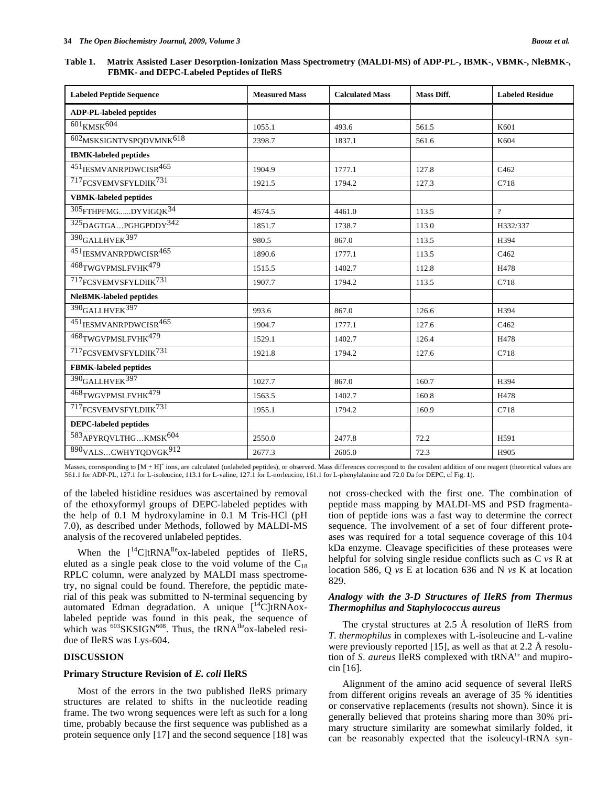| <b>Labeled Peptide Sequence</b>    | <b>Measured Mass</b> | <b>Calculated Mass</b> | Mass Diff. | <b>Labeled Residue</b> |
|------------------------------------|----------------------|------------------------|------------|------------------------|
| <b>ADP-PL-labeled peptides</b>     |                      |                        |            |                        |
| $601$ $\rm KMSK$ $604$             | 1055.1               | 493.6                  | 561.5      | K601                   |
| $602$ MSKSIGNTVSPQDVMNK $^{618}$   | 2398.7               | 1837.1                 | 561.6      | K604                   |
| <b>IBMK-labeled peptides</b>       |                      |                        |            |                        |
| 451 <sub>IESMVANRPDWCISR</sub> 465 | 1904.9               | 1777.1                 | 127.8      | C <sub>462</sub>       |
| 717FCSVEMVSFYLDIIK731              | 1921.5               | 1794.2                 | 127.3      | C718                   |
| <b>VBMK-labeled peptides</b>       |                      |                        |            |                        |
| $^{305}$ FTHPFMGDYVIGQK $^{34}$    | 4574.5               | 4461.0                 | 113.5      | $\gamma$               |
| 325 DAGTGAPGHGPDDY <sup>342</sup>  | 1851.7               | 1738.7                 | 113.0      | H332/337               |
| $390$ GALLHVEK $397$               | 980.5                | 867.0                  | 113.5      | H394                   |
| 451IESMVANRPDWCISR465              | 1890.6               | 1777.1                 | 113.5      | C462                   |
| 468TWGVPMSLFVHK <sup>479</sup>     | 1515.5               | 1402.7                 | 112.8      | H478                   |
| 717FCSVEMVSFYLDIIK731              | 1907.7               | 1794.2                 | 113.5      | C718                   |
| NleBMK-labeled peptides            |                      |                        |            |                        |
| 390 <sub>GALLHVEK</sub> 397        | 993.6                | 867.0                  | 126.6      | H394                   |
| 451IESMVANRPDWCISR465              | 1904.7               | 1777.1                 | 127.6      | C <sub>462</sub>       |
| 468TWGVPMSLFVHK <sup>479</sup>     | 1529.1               | 1402.7                 | 126.4      | H478                   |
| 717FCSVEMVSFYLDIIK <sup>731</sup>  | 1921.8               | 1794.2                 | 127.6      | C718                   |
| <b>FBMK-labeled peptides</b>       |                      |                        |            |                        |
| $390$ GALLHVEK $397$               | 1027.7               | 867.0                  | 160.7      | H394                   |
| 468TWGVPMSLFVHK479                 | 1563.5               | 1402.7                 | 160.8      | H478                   |
| 717 <sub>FCSVEMVSFYLDIIK</sub> 731 | 1955.1               | 1794.2                 | 160.9      | C718                   |
| <b>DEPC-labeled peptides</b>       |                      |                        |            |                        |
| 583APYRQVLTHGKMSK604               | 2550.0               | 2477.8                 | 72.2       | H591                   |
| 890VALSCWHYTQDVGK912               | 2677.3               | 2605.0                 | 72.3       | H905                   |

Masses, corresponding to [M + H]<sup>+</sup> ions, are calculated (unlabeled peptides), or observed. Mass differences correspond to the covalent addition of one reagent (theoretical values are 561.1 for ADP-PL, 127.1 for L-isoleucine, 113.1 for L-valine, 127.1 for L-norleucine, 161.1 for L-phenylalanine and 72.0 Da for DEPC, cf Fig. **1**).

of the labeled histidine residues was ascertained by removal of the ethoxyformyl groups of DEPC-labeled peptides with the help of 0.1 M hydroxylamine in 0.1 M Tris-HCl (pH 7.0), as described under Methods, followed by MALDI-MS analysis of the recovered unlabeled peptides.

When the  $[$ <sup>14</sup>C]tRNA<sup>Ile</sup>ox-labeled peptides of IleRS, eluted as a single peak close to the void volume of the  $C_{18}$ RPLC column, were analyzed by MALDI mass spectrometry, no signal could be found. Therefore, the peptidic material of this peak was submitted to N-terminal sequencing by automated Edman degradation. A unique  $\int_{0}^{14}C|tRNAox$ labeled peptide was found in this peak, the sequence of which was  $603$ SKSIGN<sup>608</sup>. Thus, the tRNA<sup>Ile</sup>ox-labeled residue of IleRS was Lys-604.

### **DISCUSSION**

#### **Primary Structure Revision of** *E. coli* **IleRS**

 Most of the errors in the two published IleRS primary structures are related to shifts in the nucleotide reading frame. The two wrong sequences were left as such for a long time, probably because the first sequence was published as a protein sequence only [17] and the second sequence [18] was not cross-checked with the first one. The combination of peptide mass mapping by MALDI-MS and PSD fragmentation of peptide ions was a fast way to determine the correct sequence. The involvement of a set of four different proteases was required for a total sequence coverage of this 104 kDa enzyme. Cleavage specificities of these proteases were helpful for solving single residue conflicts such as C *vs* R at location 586, Q *vs* E at location 636 and N *vs* K at location 829.

### *Analogy with the 3-D Structures of IleRS from Thermus Thermophilus and Staphylococcus aureus*

 The crystal structures at 2.5 Å resolution of IleRS from *T. thermophilus* in complexes with L-isoleucine and L-valine were previously reported [15], as well as that at 2.2 Å resolution of *S. aureus* IleRS complexed with tRNA<sup>Ile</sup> and mupirocin [16].

 Alignment of the amino acid sequence of several IleRS from different origins reveals an average of 35 % identities or conservative replacements (results not shown). Since it is generally believed that proteins sharing more than 30% primary structure similarity are somewhat similarly folded, it can be reasonably expected that the isoleucyl-tRNA syn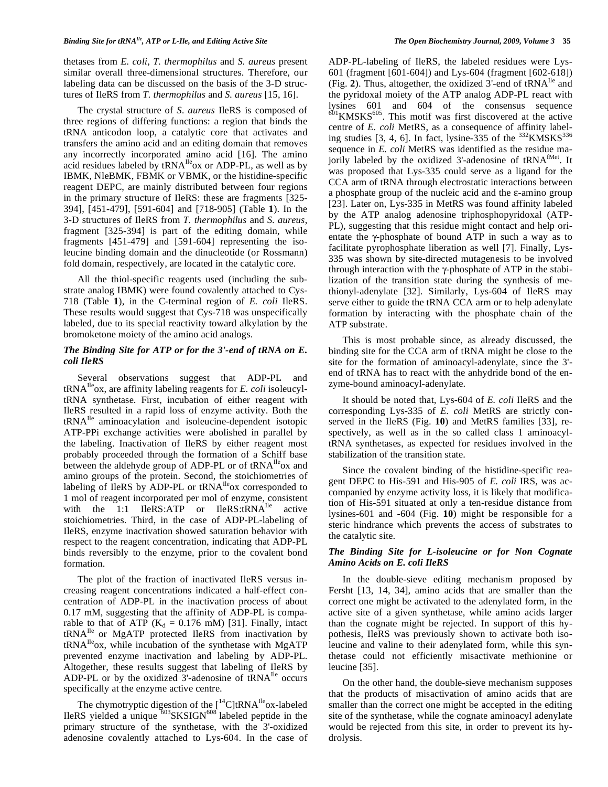thetases from *E. coli*, *T. thermophilus* and *S. aureus* present similar overall three-dimensional structures. Therefore, our labeling data can be discussed on the basis of the 3-D structures of IleRS from *T. thermophilus* and *S. aureus* [15, 16].

 The crystal structure of *S. aureus* IleRS is composed of three regions of differing functions: a region that binds the tRNA anticodon loop, a catalytic core that activates and transfers the amino acid and an editing domain that removes any incorrectly incorporated amino acid [16]. The amino acid residues labeled by  $tRNA^{Ile}$  ox or ADP-PL, as well as by IBMK, NleBMK, FBMK or VBMK, or the histidine-specific reagent DEPC, are mainly distributed between four regions in the primary structure of IleRS: these are fragments [325- 394], [451-479], [591-604] and [718-905] (Table **1**). In the 3-D structures of IleRS from *T. thermophilus* and *S. aureus*, fragment [325-394] is part of the editing domain, while fragments [451-479] and [591-604] representing the isoleucine binding domain and the dinucleotide (or Rossmann) fold domain, respectively, are located in the catalytic core.

 All the thiol-specific reagents used (including the substrate analog IBMK) were found covalently attached to Cys-718 (Table **1**), in the C-terminal region of *E. coli* IleRS. These results would suggest that Cys-718 was unspecifically labeled, due to its special reactivity toward alkylation by the bromoketone moiety of the amino acid analogs.

# *The Binding Site for ATP or for the 3'-end of tRNA on E. coli IleRS*

 Several observations suggest that ADP-PL and  $tRNA^{IIe}$  ox, are affinity labeling reagents for *E. coli* isoleucyltRNA synthetase. First, incubation of either reagent with IleRS resulted in a rapid loss of enzyme activity. Both the tRNAIle aminoacylation and isoleucine-dependent isotopic ATP-PPi exchange activities were abolished in parallel by the labeling. Inactivation of IleRS by either reagent most probably proceeded through the formation of a Schiff base between the aldehyde group of ADP-PL or of  $tRNA^{Ile}$  ox and amino groups of the protein. Second, the stoichiometries of labeling of IleRS by ADP-PL or  $tRNA^{Ile}$  ox corresponded to 1 mol of reagent incorporated per mol of enzyme, consistent with the  $1:1$  IleRS:ATP or IleRS:tRNA<sup>Ile</sup> active stoichiometries. Third, in the case of ADP-PL-labeling of IleRS, enzyme inactivation showed saturation behavior with respect to the reagent concentration, indicating that ADP-PL binds reversibly to the enzyme, prior to the covalent bond formation.

 The plot of the fraction of inactivated IleRS versus increasing reagent concentrations indicated a half-effect concentration of ADP-PL in the inactivation process of about 0.17 mM, suggesting that the affinity of ADP-PL is comparable to that of ATP ( $K_d = 0.176$  mM) [31]. Finally, intact tRNAIle or MgATP protected IleRS from inactivation by tRNA<sup>Ile</sup>ox, while incubation of the synthetase with MgATP prevented enzyme inactivation and labeling by ADP-PL. Altogether, these results suggest that labeling of IleRS by ADP-PL or by the oxidized 3'-adenosine of tRNA<sup>Ile</sup> occurs specifically at the enzyme active centre.

The chymotryptic digestion of the  $[{}^{14}C]$ tRNA<sup>Ile</sup>ox-labeled IleRS yielded a unique  $603$ SKSIGN $608$  labeled peptide in the primary structure of the synthetase, with the 3'-oxidized adenosine covalently attached to Lys-604. In the case of ADP-PL-labeling of IleRS, the labeled residues were Lys-601 (fragment [601-604]) and Lys-604 (fragment [602-618]) (Fig. **2**). Thus, altogether, the oxidized 3'-end of tRNAIle and the pyridoxal moiety of the ATP analog ADP-PL react with lysines 601 and 604 of the consensus sequence  $601$ KMSKS $605$ . This motif was first discovered at the active centre of *E. coli* MetRS, as a consequence of affinity labeling studies [3, 4, 6]. In fact, lysine- $\overline{335}$  of the  $\overline{332}$ KMSKS $\overline{336}$ sequence in *E. coli* MetRS was identified as the residue majorily labeled by the oxidized 3'-adenosine of tRNA<sup>fMet</sup>. It was proposed that Lys-335 could serve as a ligand for the CCA arm of tRNA through electrostatic interactions between a phosphate group of the nucleic acid and the  $\varepsilon$ -amino group [23]. Later on, Lys-335 in MetRS was found affinity labeled by the ATP analog adenosine triphosphopyridoxal (ATP-PL), suggesting that this residue might contact and help orientate the  $\gamma$ -phosphate of bound ATP in such a way as to facilitate pyrophosphate liberation as well [7]. Finally, Lys-335 was shown by site-directed mutagenesis to be involved through interaction with the  $\gamma$ -phosphate of ATP in the stabilization of the transition state during the synthesis of methionyl-adenylate [32]. Similarly, Lys-604 of IleRS may serve either to guide the tRNA CCA arm or to help adenylate formation by interacting with the phosphate chain of the ATP substrate.

 This is most probable since, as already discussed, the binding site for the CCA arm of tRNA might be close to the site for the formation of aminoacyl-adenylate, since the 3' end of tRNA has to react with the anhydride bond of the enzyme-bound aminoacyl-adenylate.

 It should be noted that, Lys-604 of *E. coli* IleRS and the corresponding Lys-335 of *E. coli* MetRS are strictly conserved in the IleRS (Fig. **10**) and MetRS families [33], respectively, as well as in the so called class 1 aminoacyltRNA synthetases, as expected for residues involved in the stabilization of the transition state.

Since the covalent binding of the histidine-specific reagent DEPC to His-591 and His-905 of *E. coli* IRS, was accompanied by enzyme activity loss, it is likely that modification of His-591 situated at only a ten-residue distance from lysines-601 and -604 (Fig. **10**) might be responsible for a steric hindrance which prevents the access of substrates to the catalytic site.

### *The Binding Site for L-isoleucine or for Non Cognate Amino Acids on E. coli IleRS*

 In the double-sieve editing mechanism proposed by Fersht [13, 14, 34], amino acids that are smaller than the correct one might be activated to the adenylated form, in the active site of a given synthetase, while amino acids larger than the cognate might be rejected. In support of this hypothesis, IleRS was previously shown to activate both isoleucine and valine to their adenylated form, while this synthetase could not efficiently misactivate methionine or leucine [35].

 On the other hand, the double-sieve mechanism supposes that the products of misactivation of amino acids that are smaller than the correct one might be accepted in the editing site of the synthetase, while the cognate aminoacyl adenylate would be rejected from this site, in order to prevent its hydrolysis.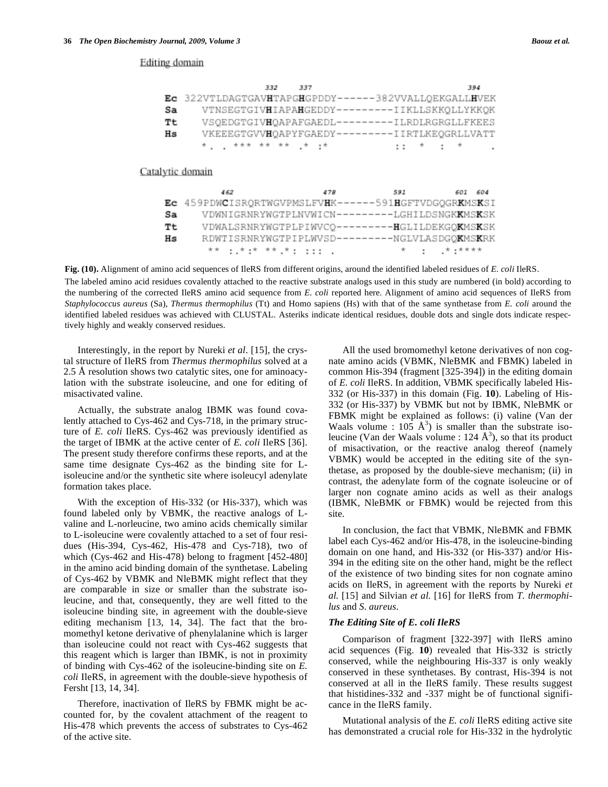#### Editing domain

|                  | 332                                                  | 337 |                                                | 394 |
|------------------|------------------------------------------------------|-----|------------------------------------------------|-----|
|                  | Ec 322VTLDAGTGAVHTAPGHGPDDY------382VVALLQEKGALLHVEK |     |                                                |     |
| Sa               |                                                      |     | VTNSEGTGIVHIAPAHGEDDY---------IIKLLSKKQLLYKKQK |     |
| Tt               |                                                      |     | VSQEDGTGIVHQAPAFGAEDL---------ILRDLRGRGLLFKEES |     |
| Hs               |                                                      |     | VKEEEGTGVVHQAPYFGAEDY---------IIRTLKEQGRLLVATT |     |
|                  |                                                      |     | ****************************                   |     |
|                  |                                                      |     |                                                |     |
| Catalytic domain |                                                      |     |                                                |     |
|                  |                                                      |     |                                                |     |
|                  | 462                                                  |     | 478 591 601 604                                |     |
| Еc               | 459PDWCISRQRTWGVPMSLFVHK------591HGFTVDGQGRKMSKSI    |     |                                                |     |
| Sa               |                                                      |     | VDWNIGRNRYWGTPLNVWICN---------LGHILDSNGKKMSKSK |     |
| Tt               |                                                      |     | VDWALSRNRYWGTPLPIWVCQ---------HGLILDEKGQKMSKSK |     |
| Hs               |                                                      |     | RDWTISRNRYWGTPIPLWVSD---------NGLVLASDGQKMSKRK |     |
|                  |                                                      |     | 木木 そしちょち 木木した さいそうさい しょうしょう しょうし スープスポスト       |     |

**Fig. (10).** Alignment of amino acid sequences of IleRS from different origins, around the identified labeled residues of *E. coli* IleRS.

The labeled amino acid residues covalently attached to the reactive substrate analogs used in this study are numbered (in bold) according to the numbering of the corrected IleRS amino acid sequence from *E. coli* reported here. Alignment of amino acid sequences of IleRS from *Staphylococcus aureus* (Sa), *Thermus thermophilus* (Tt) and Homo sapiens (Hs) with that of the same synthetase from *E. coli* around the identified labeled residues was achieved with CLUSTAL. Asteriks indicate identical residues, double dots and single dots indicate respectively highly and weakly conserved residues.

 Interestingly, in the report by Nureki *et al*. [15], the crystal structure of IleRS from *Thermus thermophilus* solved at a 2.5 Å resolution shows two catalytic sites, one for aminoacylation with the substrate isoleucine, and one for editing of misactivated valine.

 Actually, the substrate analog IBMK was found covalently attached to Cys-462 and Cys-718, in the primary structure of *E. coli* IleRS. Cys-462 was previously identified as the target of IBMK at the active center of *E. coli* IleRS [36]. The present study therefore confirms these reports, and at the same time designate Cys-462 as the binding site for Lisoleucine and/or the synthetic site where isoleucyl adenylate formation takes place.

 With the exception of His-332 (or His-337), which was found labeled only by VBMK, the reactive analogs of Lvaline and L-norleucine, two amino acids chemically similar to L-isoleucine were covalently attached to a set of four residues (His-394, Cys-462, His-478 and Cys-718), two of which (Cys-462 and His-478) belong to fragment [452-480] in the amino acid binding domain of the synthetase. Labeling of Cys-462 by VBMK and NleBMK might reflect that they are comparable in size or smaller than the substrate isoleucine, and that, consequently, they are well fitted to the isoleucine binding site, in agreement with the double-sieve editing mechanism [13, 14, 34]. The fact that the bromomethyl ketone derivative of phenylalanine which is larger than isoleucine could not react with Cys-462 suggests that this reagent which is larger than IBMK, is not in proximity of binding with Cys-462 of the isoleucine-binding site on *E. coli* IleRS, in agreement with the double-sieve hypothesis of Fersht [13, 14, 34].

 Therefore, inactivation of IleRS by FBMK might be accounted for, by the covalent attachment of the reagent to His-478 which prevents the access of substrates to Cys-462 of the active site.

 All the used bromomethyl ketone derivatives of non cognate amino acids (VBMK, NleBMK and FBMK) labeled in common His-394 (fragment [325-394]) in the editing domain of *E. coli* IleRS. In addition, VBMK specifically labeled His-332 (or His-337) in this domain (Fig. **10**). Labeling of His-332 (or His-337) by VBMK but not by IBMK, NleBMK or FBMK might be explained as follows: (i) valine (Van der Waals volume :  $105 \text{ Å}^3$ ) is smaller than the substrate isoleucine (Van der Waals volume : 124  $\AA^3$ ), so that its product of misactivation, or the reactive analog thereof (namely VBMK) would be accepted in the editing site of the synthetase, as proposed by the double-sieve mechanism; (ii) in contrast, the adenylate form of the cognate isoleucine or of larger non cognate amino acids as well as their analogs (IBMK, NleBMK or FBMK) would be rejected from this site.

 In conclusion, the fact that VBMK, NleBMK and FBMK label each Cys-462 and/or His-478, in the isoleucine-binding domain on one hand, and His-332 (or His-337) and/or His-394 in the editing site on the other hand, might be the reflect of the existence of two binding sites for non cognate amino acids on IleRS, in agreement with the reports by Nureki *et al.* [15] and Silvian *et al.* [16] for IleRS from *T. thermophilus* and *S. aureus*.

### *The Editing Site of E. coli IleRS*

 Comparison of fragment [322-397] with IleRS amino acid sequences (Fig. **10**) revealed that His-332 is strictly conserved, while the neighbouring His-337 is only weakly conserved in these synthetases. By contrast, His-394 is not conserved at all in the IleRS family. These results suggest that histidines-332 and -337 might be of functional significance in the IleRS family.

 Mutational analysis of the *E. coli* IleRS editing active site has demonstrated a crucial role for His-332 in the hydrolytic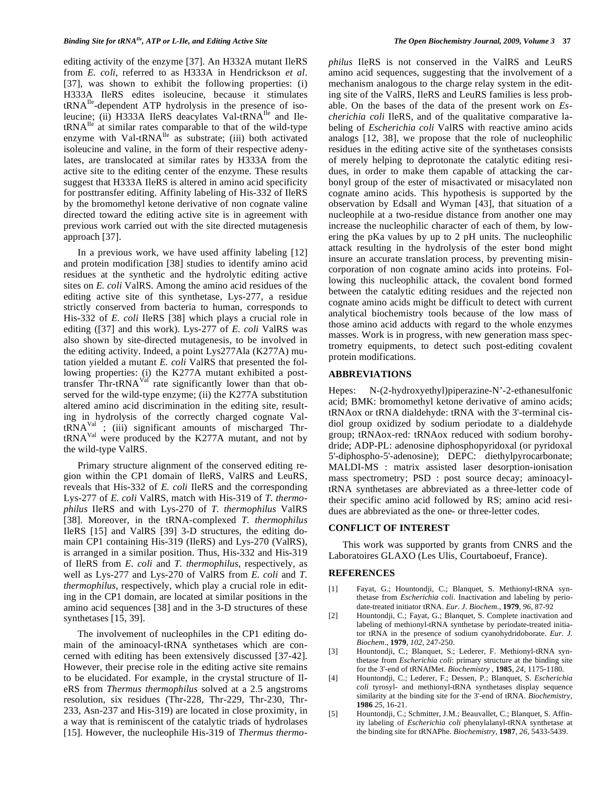editing activity of the enzyme [37]. An H332A mutant IleRS from *E. coli*, referred to as H333A in Hendrickson *et al*. [37], was shown to exhibit the following properties: (i) H333A IleRS edites isoleucine, because it stimulates tRNAIle-dependent ATP hydrolysis in the presence of isoleucine; (ii) H333A IleRS deacylates Val-tRNA<sup>Ile</sup> and Ile $tRNA^{Ile}$  at similar rates comparable to that of the wild-type enzyme with Val-tRNA<sup>Ile</sup> as substrate; (iii) both activated isoleucine and valine, in the form of their respective adenylates, are translocated at similar rates by H333A from the active site to the editing center of the enzyme. These results suggest that H333A IleRS is altered in amino acid specificity for posttransfer editing. Affinity labeling of His-332 of IleRS by the bromomethyl ketone derivative of non cognate valine directed toward the editing active site is in agreement with previous work carried out with the site directed mutagenesis approach [37].

 In a previous work, we have used affinity labeling [12] and protein modification [38] studies to identify amino acid residues at the synthetic and the hydrolytic editing active sites on *E. coli* ValRS. Among the amino acid residues of the editing active site of this synthetase, Lys-277, a residue strictly conserved from bacteria to human, corresponds to His-332 of *E. coli* IleRS [38] which plays a crucial role in editing ([37] and this work). Lys-277 of *E. coli* ValRS was also shown by site-directed mutagenesis, to be involved in the editing activity. Indeed, a point Lys277Ala (K277A) mutation yielded a mutant *E. coli* ValRS that presented the following properties: (i) the K277A mutant exhibited a posttransfer Thr-tRNA $<sup>VaI</sup>$  rate significantly lower than that ob-</sup> served for the wild-type enzyme; (ii) the K277A substitution altered amino acid discrimination in the editing site, resulting in hydrolysis of the correctly charged cognate Val $tRNA<sup>Val</sup>$ ; (iii) significant amounts of mischarged Thr $tRNA<sup>Val</sup>$  were produced by the K277A mutant, and not by the wild-type ValRS.

 Primary structure alignment of the conserved editing region within the CP1 domain of IleRS, ValRS and LeuRS, reveals that His-332 of *E. coli* IleRS and the corresponding Lys-277 of *E. coli* ValRS, match with His-319 of *T. thermophilus* IleRS and with Lys-270 of *T. thermophilus* ValRS [38]. Moreover, in the tRNA-complexed *T. thermophilus* IleRS [15] and ValRS [39] 3-D structures, the editing domain CP1 containing His-319 (IleRS) and Lys-270 (ValRS), is arranged in a similar position. Thus, His-332 and His-319 of IleRS from *E. coli* and *T. thermophilus*, respectively, as well as Lys-277 and Lys-270 of ValRS from *E. coli* and *T. thermophilus*, respectively, which play a crucial role in editing in the CP1 domain, are located at similar positions in the amino acid sequences [38] and in the 3-D structures of these synthetases [15, 39].

 The involvement of nucleophiles in the CP1 editing domain of the aminoacyl-tRNA synthetases which are concerned with editing has been extensively discussed [37-42]. However, their precise role in the editing active site remains to be elucidated. For example, in the crystal structure of IleRS from *Thermus thermophilus* solved at a 2.5 angstroms resolution, six residues (Thr-228, Thr-229, Thr-230, Thr-233, Asn-237 and His-319) are located in close proximity, in a way that is reminiscent of the catalytic triads of hydrolases [15]. However, the nucleophile His-319 of *Thermus thermo-* *philus* IleRS is not conserved in the ValRS and LeuRS amino acid sequences, suggesting that the involvement of a mechanism analogous to the charge relay system in the editing site of the ValRS, IleRS and LeuRS families is less probable. On the bases of the data of the present work on *Escherichia coli* IleRS, and of the qualitative comparative labeling of *Escherichia coli* ValRS with reactive amino acids analogs [12, 38], we propose that the role of nucleophilic residues in the editing active site of the synthetases consists of merely helping to deprotonate the catalytic editing residues, in order to make them capable of attacking the carbonyl group of the ester of misactivated or misacylated non cognate amino acids. This hypothesis is supported by the observation by Edsall and Wyman [43], that situation of a nucleophile at a two-residue distance from another one may increase the nucleophilic character of each of them, by lowering the pKa values by up to 2 pH units. The nucleophilic attack resulting in the hydrolysis of the ester bond might insure an accurate translation process, by preventing misincorporation of non cognate amino acids into proteins. Following this nucleophilic attack, the covalent bond formed between the catalytic editing residues and the rejected non cognate amino acids might be difficult to detect with current analytical biochemistry tools because of the low mass of those amino acid adducts with regard to the whole enzymes masses. Work is in progress, with new generation mass spectrometry equipments, to detect such post-editing covalent protein modifications.

# **ABBREVIATIONS**

Hepes: N-(2-hydroxyethyl)piperazine-N'-2-ethanesulfonic acid; BMK: bromomethyl ketone derivative of amino acids; tRNAox or tRNA dialdehyde: tRNA with the 3'-terminal cisdiol group oxidized by sodium periodate to a dialdehyde group; tRNAox-red: tRNAox reduced with sodium borohydride; ADP-PL: adenosine diphosphopyridoxal (or pyridoxal 5'-diphospho-5'-adenosine); DEPC: diethylpyrocarbonate; MALDI-MS : matrix assisted laser desorption-ionisation mass spectrometry; PSD : post source decay; aminoacyltRNA synthetases are abbreviated as a three-letter code of their specific amino acid followed by RS; amino acid residues are abbreviated as the one- or three-letter codes.

#### **CONFLICT OF INTEREST**

 This work was supported by grants from CNRS and the Laboratoires GLAXO (Les Ulis, Courtaboeuf, France).

### **REFERENCES**

- [1] Fayat, G.; Hountondji, C.; Blanquet, S. Methionyl-tRNA synthetase from *Escherichia coli*. Inactivation and labeling by periodate-treated initiator tRNA. *Eur. J. Biochem*., **1979**, *96*, 87-92
- [2] Hountondji, C.; Fayat, G.; Blanquet, S. Complete inactivation and labeling of methionyl-tRNA synthetase by periodate-treated initiator tRNA in the presence of sodium cyanohydridoborate. *Eur. J. Biochem*., **1979**, *102*, 247-250.
- [3] Hountondji, C.; Blanquet, S.; Lederer, F. Methionyl-tRNA synthetase from *Escherichia coli*: primary structure at the binding site for the 3'-end of tRNAfMet. *Biochemistry* , **1985**, *24*, 1175-1180.
- [4] Hountondji, C.; Lederer, F.; Dessen, P.; Blanquet, S. *Escherichia coli* tyrosyl- and methionyl-tRNA synthetases display sequence similarity at the binding site for the 3'-end of tRNA. *Biochemistry*, **1986** *25*, 16-21.
- [5] Hountondji, C.; Schmitter, J.M.; Beauvallet, C.; Blanquet, S. Affinity labeling of *Escherichia coli* phenylalanyl-tRNA synthetase at the binding site for tRNAPhe. *Biochemistry,* **1987**, *26*, 5433-5439.